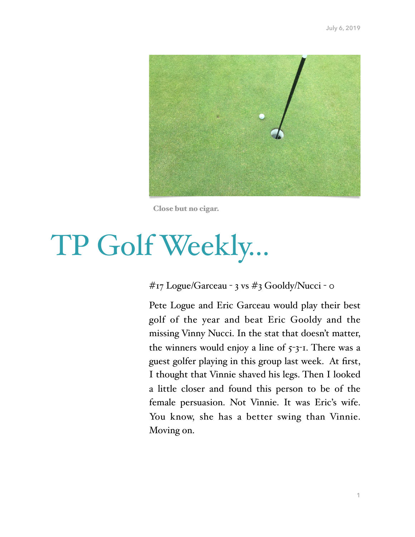

Close but no cigar.

# TP Golf Weekly…

# #17 Logue/Garceau - 3 vs #3 Gooldy/Nucci - 0

Pete Logue and Eric Garceau would play their best golf of the year and beat Eric Gooldy and the missing Vinny Nucci. In the stat that doesn't matter, the winners would enjoy a line of  $5 - 3 - 1$ . There was a guest golfer playing in this group last week. At first, I thought that Vinnie shaved his legs. Then I looked a little closer and found this person to be of the female persuasion. Not Vinnie. It was Eric's wife. You know, she has a better swing than Vinnie. Moving on.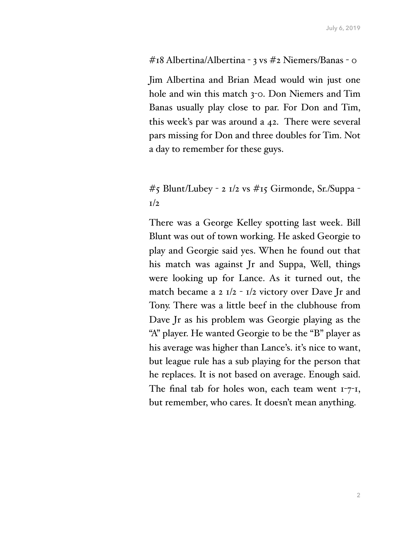#### #18 Albertina/Albertina - 3 vs #2 Niemers/Banas - 0

Jim Albertina and Brian Mead would win just one hole and win this match 3-0. Don Niemers and Tim Banas usually play close to par. For Don and Tim, this week's par was around a 42. There were several pars missing for Don and three doubles for Tim. Not a day to remember for these guys.

# #5 Blunt/Lubey - 2 1/2 vs #15 Girmonde, Sr./Suppa -  $1/2$

There was a George Kelley spotting last week. Bill Blunt was out of town working. He asked Georgie to play and Georgie said yes. When he found out that his match was against Jr and Suppa, Well, things were looking up for Lance. As it turned out, the match became a 2  $I/2 - I/2$  victory over Dave Jr and Tony. There was a little beef in the clubhouse from Dave Jr as his problem was Georgie playing as the "A" player. He wanted Georgie to be the "B" player as his average was higher than Lance's. it's nice to want, but league rule has a sub playing for the person that he replaces. It is not based on average. Enough said. The final tab for holes won, each team went  $1-7-1$ , but remember, who cares. It doesn't mean anything.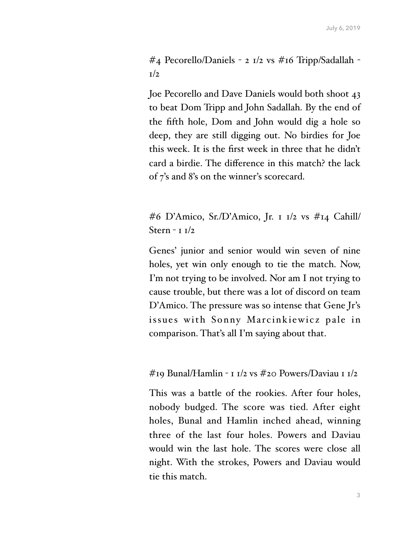#4 Pecorello/Daniels - 2 1/2 vs #16 Tripp/Sadallah -  $1/2$ 

Joe Pecorello and Dave Daniels would both shoot 43 to beat Dom Tripp and John Sadallah. By the end of the fifth hole, Dom and John would dig a hole so deep, they are still digging out. No birdies for Joe this week. It is the first week in three that he didn't card a birdie. The difference in this match? the lack of 7's and 8's on the winner's scorecard.

#6 D'Amico, Sr./D'Amico, Jr. 1 1/2 vs #14 Cahill/ Stern - 1 1/2

Genes' junior and senior would win seven of nine holes, yet win only enough to tie the match. Now, I'm not trying to be involved. Nor am I not trying to cause trouble, but there was a lot of discord on team D'Amico. The pressure was so intense that Gene Jr's issues with Sonny Marcinkiewicz pale in comparison. That's all I'm saying about that.

#19 Bunal/Hamlin - 1 1/2 vs #20 Powers/Daviau 1 1/2

This was a battle of the rookies. After four holes, nobody budged. The score was tied. After eight holes, Bunal and Hamlin inched ahead, winning three of the last four holes. Powers and Daviau would win the last hole. The scores were close all night. With the strokes, Powers and Daviau would tie this match.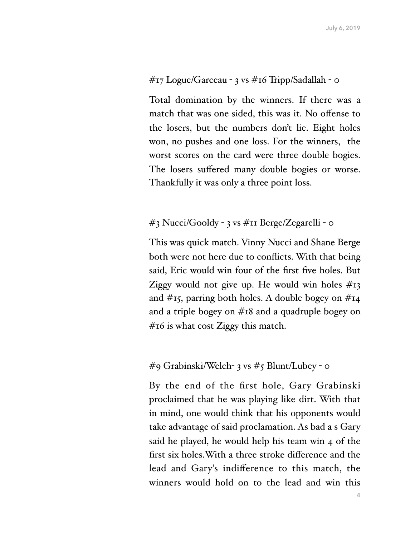## #17 Logue/Garceau - 3 vs #16 Tripp/Sadallah - 0

Total domination by the winners. If there was a match that was one sided, this was it. No offense to the losers, but the numbers don't lie. Eight holes won, no pushes and one loss. For the winners, the worst scores on the card were three double bogies. The losers suffered many double bogies or worse. Thankfully it was only a three point loss.

### #3 Nucci/Gooldy - 3 vs #11 Berge/Zegarelli - 0

This was quick match. Vinny Nucci and Shane Berge both were not here due to conflicts. With that being said, Eric would win four of the first five holes. But Ziggy would not give up. He would win holes  $\#_{13}$ and #15, parring both holes. A double bogey on #14 and a triple bogey on #18 and a quadruple bogey on #16 is what cost Ziggy this match.

#### #9 Grabinski/Welch- 3 vs #5 Blunt/Lubey - 0

By the end of the first hole, Gary Grabinski proclaimed that he was playing like dirt. With that in mind, one would think that his opponents would take advantage of said proclamation. As bad a s Gary said he played, he would help his team win 4 of the first six holes.With a three stroke difference and the lead and Gary's indifference to this match, the winners would hold on to the lead and win this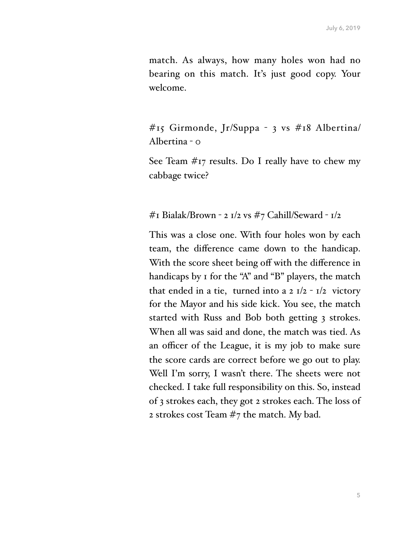match. As always, how many holes won had no bearing on this match. It's just good copy. Your welcome.

#15 Girmonde, Jr/Suppa - 3 vs #18 Albertina/ Albertina  $-\circ$ 

See Team #17 results. Do I really have to chew my cabbage twice?

#### #1 Bialak/Brown - 2 1/2 vs #7 Cahill/Seward -  $1/2$

This was a close one. With four holes won by each team, the difference came down to the handicap. With the score sheet being off with the difference in handicaps by 1 for the "A" and "B" players, the match that ended in a tie, turned into a  $2 I/2 - I/2$  victory for the Mayor and his side kick. You see, the match started with Russ and Bob both getting 3 strokes. When all was said and done, the match was tied. As an officer of the League, it is my job to make sure the score cards are correct before we go out to play. Well I'm sorry, I wasn't there. The sheets were not checked. I take full responsibility on this. So, instead of 3 strokes each, they got 2 strokes each. The loss of 2 strokes cost Team #7 the match. My bad.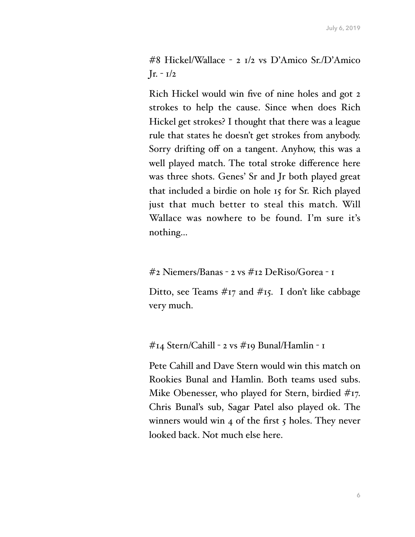#8 Hickel/Wallace - 2 1/2 vs D'Amico Sr./D'Amico  $Jr. - 1/2$ 

Rich Hickel would win five of nine holes and got 2 strokes to help the cause. Since when does Rich Hickel get strokes? I thought that there was a league rule that states he doesn't get strokes from anybody. Sorry drifting off on a tangent. Anyhow, this was a well played match. The total stroke difference here was three shots. Genes' Sr and Jr both played great that included a birdie on hole 15 for Sr. Rich played just that much better to steal this match. Will Wallace was nowhere to be found. I'm sure it's nothing…

#2 Niemers/Banas - 2 vs #12 DeRiso/Gorea - 1

Ditto, see Teams  $\#_{17}$  and  $\#_{15}$ . I don't like cabbage very much.

#14 Stern/Cahill - 2 vs #19 Bunal/Hamlin - 1

Pete Cahill and Dave Stern would win this match on Rookies Bunal and Hamlin. Both teams used subs. Mike Obenesser, who played for Stern, birdied #17. Chris Bunal's sub, Sagar Patel also played ok. The winners would win  $4$  of the first  $5$  holes. They never looked back. Not much else here.